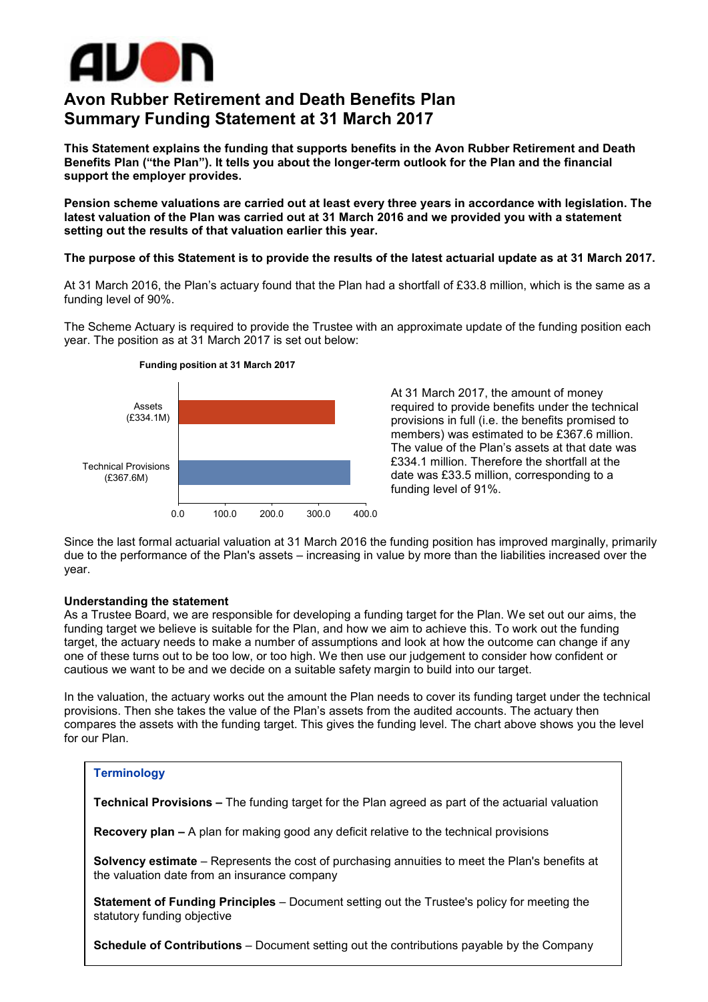

# **Avon Rubber Retirement and Death Benefits Plan Summary Funding Statement at 31 March 2017**

**This Statement explains the funding that supports benefits in the Avon Rubber Retirement and Death Benefits Plan ("the Plan"). It tells you about the longer-term outlook for the Plan and the financial support the employer provides.**

**Pension scheme valuations are carried out at least every three years in accordance with legislation. The latest valuation of the Plan was carried out at 31 March 2016 and we provided you with a statement setting out the results of that valuation earlier this year.**

#### **The purpose of this Statement is to provide the results of the latest actuarial update as at 31 March 2017.**

At 31 March 2016, the Plan's actuary found that the Plan had a shortfall of £33.8 million, which is the same as a funding level of 90%.

The Scheme Actuary is required to provide the Trustee with an approximate update of the funding position each year. The position as at 31 March 2017 is set out below:



At 31 March 2017, the amount of money required to provide benefits under the technical provisions in full (i.e. the benefits promised to members) was estimated to be £367.6 million. The value of the Plan's assets at that date was £334.1 million. Therefore the shortfall at the date was £33.5 million, corresponding to a funding level of 91%.

Since the last formal actuarial valuation at 31 March 2016 the funding position has improved marginally, primarily due to the performance of the Plan's assets – increasing in value by more than the liabilities increased over the year.

## **Understanding the statement**

As a Trustee Board, we are responsible for developing a funding target for the Plan. We set out our aims, the funding target we believe is suitable for the Plan, and how we aim to achieve this. To work out the funding target, the actuary needs to make a number of assumptions and look at how the outcome can change if any one of these turns out to be too low, or too high. We then use our judgement to consider how confident or cautious we want to be and we decide on a suitable safety margin to build into our target.

In the valuation, the actuary works out the amount the Plan needs to cover its funding target under the technical provisions. Then she takes the value of the Plan's assets from the audited accounts. The actuary then compares the assets with the funding target. This gives the funding level. The chart above shows you the level for our Plan.

#### **Terminology**

**Technical Provisions –** The funding target for the Plan agreed as part of the actuarial valuation

**Recovery plan –** A plan for making good any deficit relative to the technical provisions

**Solvency estimate** – Represents the cost of purchasing annuities to meet the Plan's benefits at the valuation date from an insurance company

**Statement of Funding Principles** – Document setting out the Trustee's policy for meeting the statutory funding objective

**Schedule of Contributions** – Document setting out the contributions payable by the Company